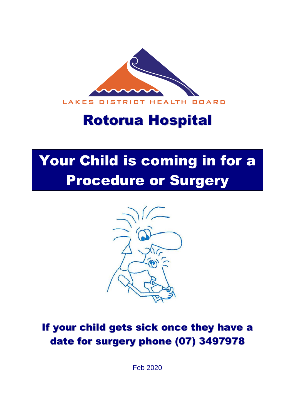

# Rotorua Hospital

# Your Child is coming in for a Procedure or Surgery



## If your child gets sick once they have a date for surgery phone (07) 3497978

Feb 2020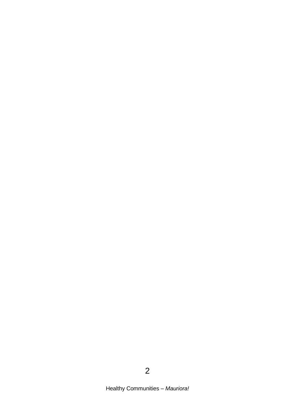$\overline{2}$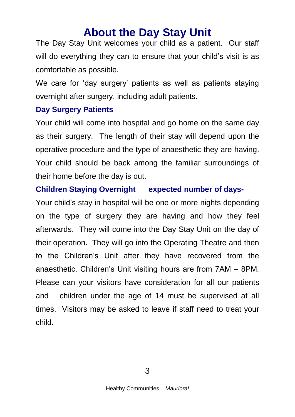### **About the Day Stay Unit**

The Day Stay Unit welcomes your child as a patient. Our staff will do everything they can to ensure that your child's visit is as comfortable as possible.

We care for 'day surgery' patients as well as patients staying overnight after surgery, including adult patients.

#### **Day Surgery Patients**

Your child will come into hospital and go home on the same day as their surgery. The length of their stay will depend upon the operative procedure and the type of anaesthetic they are having. Your child should be back among the familiar surroundings of their home before the day is out.

#### **Children Staying Overnight expected number of days-**

Your child's stay in hospital will be one or more nights depending on the type of surgery they are having and how they feel afterwards. They will come into the Day Stay Unit on the day of their operation. They will go into the Operating Theatre and then to the Children's Unit after they have recovered from the anaesthetic. Children's Unit visiting hours are from 7AM – 8PM. Please can your visitors have consideration for all our patients and children under the age of 14 must be supervised at all times. Visitors may be asked to leave if staff need to treat your child.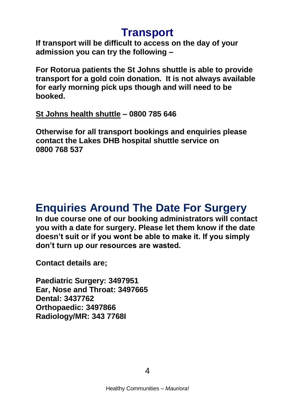### **Transport**

**If transport will be difficult to access on the day of your admission you can try the following –**

**For Rotorua patients the St Johns shuttle is able to provide transport for a gold coin donation. It is not always available for early morning pick ups though and will need to be booked.**

**St Johns health shuttle – 0800 785 646**

**Otherwise for all transport bookings and enquiries please contact the Lakes DHB hospital shuttle service on 0800 768 537**

## **Enquiries Around The Date For Surgery**

**In due course one of our booking administrators will contact you with a date for surgery. Please let them know if the date doesn't suit or if you wont be able to make it. If you simply don't turn up our resources are wasted.** 

**Contact details are;**

**Paediatric Surgery: 3497951 Ear, Nose and Throat: 3497665 Dental: 3437762 Orthopaedic: 3497866 Radiology/MR: 343 7768I** 

4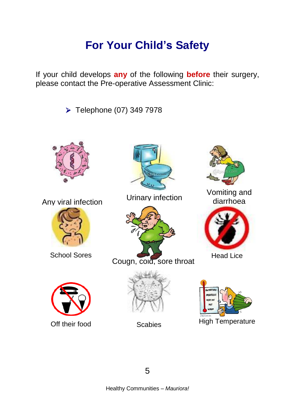## **For Your Child's Safety**

If your child develops any of the following before their surgery. please contact the Pre-operative Assessment Clinic:

▶ Telephone (07) 349 7978



Any viral infection



**School Sores** 





Urinary infection



Cougn, cold, sore throat



Scabies



Vomiting and diarrhoea



Head Lice



**High Temperature**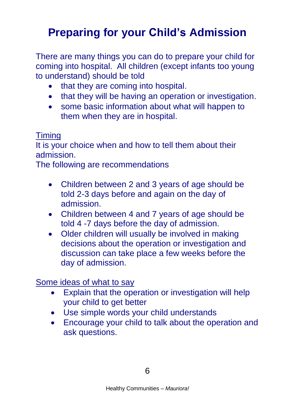## **Preparing for your Child's Admission**

There are many things you can do to prepare your child for coming into hospital. All children (except infants too young to understand) should be told

- that they are coming into hospital.
- that they will be having an operation or investigation.
- some basic information about what will happen to them when they are in hospital.

### **Timing**

It is your choice when and how to tell them about their admission.

The following are recommendations

- Children between 2 and 3 years of age should be told 2-3 days before and again on the day of admission.
- Children between 4 and 7 years of age should be told 4 -7 days before the day of admission.
- Older children will usually be involved in making decisions about the operation or investigation and discussion can take place a few weeks before the day of admission.

Some ideas of what to say

- Explain that the operation or investigation will help your child to get better
- Use simple words your child understands
- Encourage your child to talk about the operation and ask questions.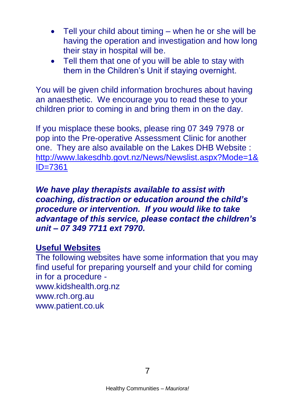- Tell your child about timing when he or she will be having the operation and investigation and how long their stay in hospital will be.
- Tell them that one of you will be able to stay with them in the Children's Unit if staying overnight.

You will be given child information brochures about having an anaesthetic. We encourage you to read these to your children prior to coming in and bring them in on the day.

If you misplace these books, please ring 07 349 7978 or pop into the Pre-operative Assessment Clinic for another one. They are also available on the Lakes DHB Website : [http://www.lakesdhb.govt.nz/News/Newslist.aspx?Mode=1&](http://www.lakesdhb.govt.nz/News/Newslist.aspx?Mode=1&ID=7361) [ID=7361](http://www.lakesdhb.govt.nz/News/Newslist.aspx?Mode=1&ID=7361)

*We have play therapists available to assist with coaching, distraction or education around the child's procedure or intervention. If you would like to take advantage of this service, please contact the children's unit – 07 349 7711 ext 7970.*

### **Useful Websites**

The following websites have some information that you may find useful for preparing yourself and your child for coming in for a procedure www.kidshealth.org.nz www.rch.org.au www.patient.co.uk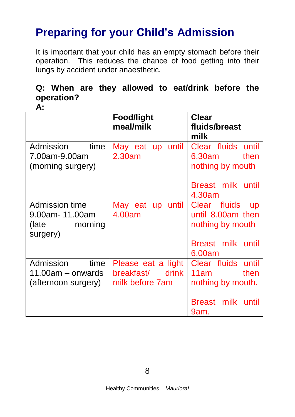## **Preparing for your Child's Admission**

It is important that your child has an empty stomach before their operation. This reduces the chance of food getting into their lungs by accident under anaesthetic.

#### **Q: When are they allowed to eat/drink before the operation? A:**

|                                                                 | Food/light<br>meal/milk                                      | <b>Clear</b><br>fluids/breast<br>milk                    |
|-----------------------------------------------------------------|--------------------------------------------------------------|----------------------------------------------------------|
| Admission<br>time<br>7.00am-9.00am<br>(morning surgery)         | May eat up<br>until<br>2.30am                                | Clear fluids until<br>6.30am<br>then<br>nothing by mouth |
|                                                                 |                                                              | Breast milk until<br>4.30am                              |
| Admission time<br>9.00am- 11.00am<br>(late morning)<br>surgery) | until<br>May eat up<br>4.00am                                | Clear fluids up<br>until 8.00am then<br>nothing by mouth |
|                                                                 |                                                              | Breast milk until<br>6.00am                              |
| Admission<br>time<br>11.00am - onwards<br>(afternoon surgery)   | Please eat a light<br>drink<br>breakfast/<br>milk before 7am | Clear fluids until<br>11am<br>then<br>nothing by mouth.  |
|                                                                 |                                                              | Breast milk until<br>9am.                                |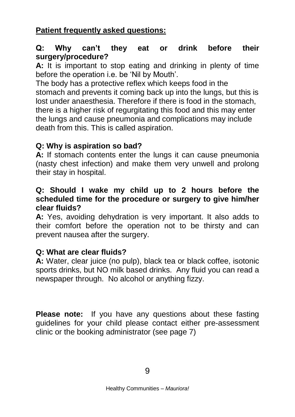### **Patient frequently asked questions:**

### **Q: Why can't they eat or drink before their surgery/procedure?**

**A:** It is important to stop eating and drinking in plenty of time before the operation i.e. be 'Nil by Mouth'.

The body has a protective reflex which keeps food in the stomach and prevents it coming back up into the lungs, but this is lost under anaesthesia. Therefore if there is food in the stomach, there is a higher risk of regurgitating this food and this may enter the lungs and cause pneumonia and complications may include death from this. This is called aspiration.

### **Q: Why is aspiration so bad?**

**A:** If stomach contents enter the lungs it can cause pneumonia (nasty chest infection) and make them very unwell and prolong their stay in hospital.

#### **Q: Should I wake my child up to 2 hours before the scheduled time for the procedure or surgery to give him/her clear fluids?**

**A:** Yes, avoiding dehydration is very important. It also adds to their comfort before the operation not to be thirsty and can prevent nausea after the surgery.

### **Q: What are clear fluids?**

**A:** Water, clear juice (no pulp), black tea or black coffee, isotonic sports drinks, but NO milk based drinks. Any fluid you can read a newspaper through. No alcohol or anything fizzy.

**Please note:** If you have any questions about these fasting guidelines for your child please contact either pre-assessment clinic or the booking administrator (see page 7)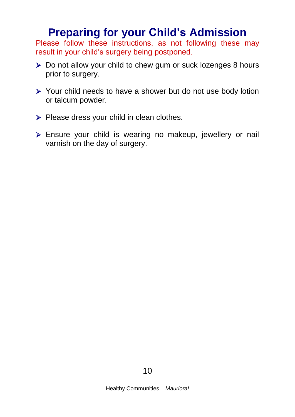### **Preparing for your Child's Admission**

Please follow these instructions, as not following these may result in your child's surgery being postponed.

- ▶ Do not allow your child to chew gum or suck lozenges 8 hours prior to surgery.
- ▶ Your child needs to have a shower but do not use body lotion or talcum powder.
- $\triangleright$  Please dress your child in clean clothes.
- Ensure your child is wearing no makeup, jewellery or nail varnish on the day of surgery.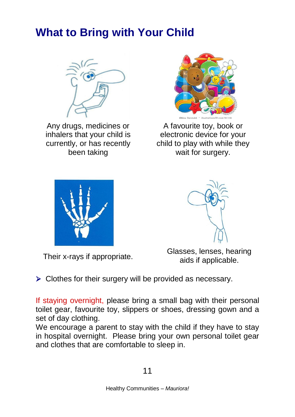## **What to Bring with Your Child**



Any drugs, medicines or inhalers that your child is currently, or has recently been taking



A favourite toy, book or electronic device for your child to play with while they wait for surgery.



Their x-rays if appropriate.



Glasses, lenses, hearing aids if applicable.

 $\triangleright$  Clothes for their surgery will be provided as necessary.

If staying overnight, please bring a small bag with their personal toilet gear, favourite toy, slippers or shoes, dressing gown and a set of day clothing.

We encourage a parent to stay with the child if they have to stay in hospital overnight. Please bring your own personal toilet gear and clothes that are comfortable to sleep in.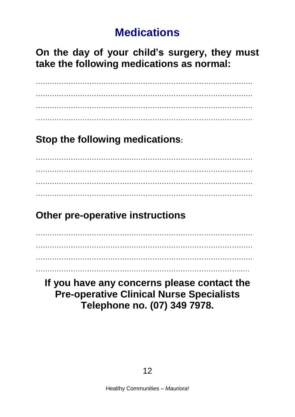## **Medications**

**On the day of your child's surgery, they must take the following medications as normal:**

………………………………………………………………………………… ………………………………………………………………………………… ………………………………………………………………………………… …………………………………………………………………………………

## **Stop the following medications:**

…………………………………………………………………………………  $\mathcal{L}^{(n)}$ ………………………………………………………………………………… …………………………………………………………………………………

## **Other pre-operative instructions**

………………………………………………………………………………… ………………………………………………………………………………… …………………………………………………………………………………

### **If you have any concerns please contact the Pre-operative Clinical Nurse Specialists Telephone no. (07) 349 7978.**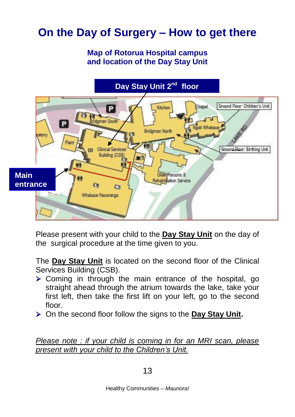## **On the Day of Surgery – How to get there**

### **Map of Rotorua Hospital campus and location of the Day Stay Unit**



Please present with your child to the **Day Stay Unit** on the day of the surgical procedure at the time given to you.

The **Day Stay Unit** is located on the second floor of the Clinical Services Building (CSB).

- $\triangleright$  Coming in through the main entrance of the hospital, go straight ahead through the atrium towards the lake, take your first left, then take the first lift on your left, go to the second floor.
- On the second floor follow the signs to the **Day Stay Unit.**

*Please note : if your child is coming in for an MRI scan, please present with your child to the Children's Unit.*

13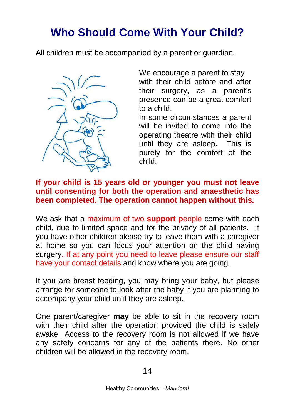## **Who Should Come With Your Child?**

All children must be accompanied by a parent or guardian.



We encourage a parent to stay with their child before and after their surgery, as a parent's presence can be a great comfort to a child.

In some circumstances a parent will be invited to come into the operating theatre with their child until they are asleep. This is purely for the comfort of the child.

#### **If your child is 15 years old or younger you must not leave until consenting for both the operation and anaesthetic has been completed. The operation cannot happen without this.**

We ask that a maximum of two **support p**eople come with each child, due to limited space and for the privacy of all patients. If you have other children please try to leave them with a caregiver at home so you can focus your attention on the child having surgery. If at any point you need to leave please ensure our staff have your contact details and know where you are going.

If you are breast feeding, you may bring your baby, but please arrange for someone to look after the baby if you are planning to accompany your child until they are asleep.

One parent/caregiver **may** be able to sit in the recovery room with their child after the operation provided the child is safely awake Access to the recovery room is not allowed if we have any safety concerns for any of the patients there. No other children will be allowed in the recovery room.

14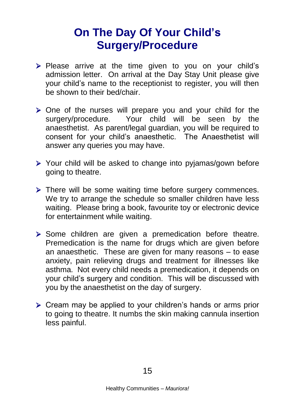## **On The Day Of Your Child's Surgery/Procedure**

- $\triangleright$  Please arrive at the time given to you on your child's admission letter. On arrival at the Day Stay Unit please give your child's name to the receptionist to register, you will then be shown to their bed/chair.
- $\triangleright$  One of the nurses will prepare you and your child for the surgery/procedure. Your child will be seen by the anaesthetist. As parent/legal guardian, you will be required to consent for your child's anaesthetic. The Anaesthetist will answer any queries you may have.
- ▶ Your child will be asked to change into pyjamas/gown before going to theatre.
- $\triangleright$  There will be some waiting time before surgery commences. We try to arrange the schedule so smaller children have less waiting. Please bring a book, favourite toy or electronic device for entertainment while waiting.
- $\triangleright$  Some children are given a premedication before theatre. Premedication is the name for drugs which are given before an anaesthetic. These are given for many reasons – to ease anxiety, pain relieving drugs and treatment for illnesses like asthma. Not every child needs a premedication, it depends on your child's surgery and condition. This will be discussed with you by the anaesthetist on the day of surgery.
- ▶ Cream may be applied to your children's hands or arms prior to going to theatre. It numbs the skin making cannula insertion less painful.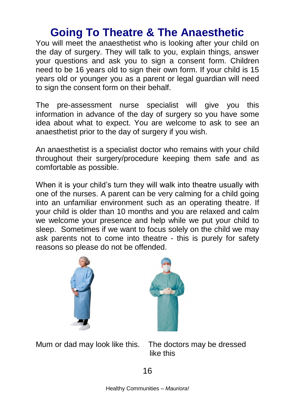### **Going To Theatre & The Anaesthetic**

You will meet the anaesthetist who is looking after your child on the day of surgery. They will talk to you, explain things, answer your questions and ask you to sign a consent form. Children need to be 16 years old to sign their own form. If your child is 15 years old or younger you as a parent or legal guardian will need to sign the consent form on their behalf.

The pre-assessment nurse specialist will give you this information in advance of the day of surgery so you have some idea about what to expect. You are welcome to ask to see an anaesthetist prior to the day of surgery if you wish.

An anaesthetist is a specialist doctor who remains with your child throughout their surgery/procedure keeping them safe and as comfortable as possible.

When it is your child's turn they will walk into theatre usually with one of the nurses. A parent can be very calming for a child going into an unfamiliar environment such as an operating theatre. If your child is older than 10 months and you are relaxed and calm we welcome your presence and help while we put your child to sleep. Sometimes if we want to focus solely on the child we may ask parents not to come into theatre - this is purely for safety reasons so please do not be offended.





Mum or dad may look like this. The doctors may be dressed

like this

16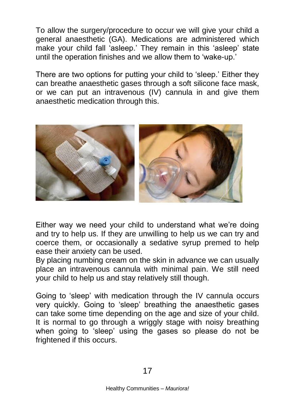To allow the surgery/procedure to occur we will give your child a general anaesthetic (GA). Medications are administered which make your child fall 'asleep.' They remain in this 'asleep' state until the operation finishes and we allow them to 'wake-up.'

There are two options for putting your child to 'sleep.' Either they can breathe anaesthetic gases through a soft silicone face mask, or we can put an intravenous (IV) cannula in and give them anaesthetic medication through this.



Either way we need your child to understand what we're doing and try to help us. If they are unwilling to help us we can try and coerce them, or occasionally a sedative syrup premed to help ease their anxiety can be used.

By placing numbing cream on the skin in advance we can usually place an intravenous cannula with minimal pain. We still need your child to help us and stay relatively still though.

Going to 'sleep' with medication through the IV cannula occurs very quickly. Going to 'sleep' breathing the anaesthetic gases can take some time depending on the age and size of your child. It is normal to go through a wriggly stage with noisy breathing when going to 'sleep' using the gases so please do not be frightened if this occurs.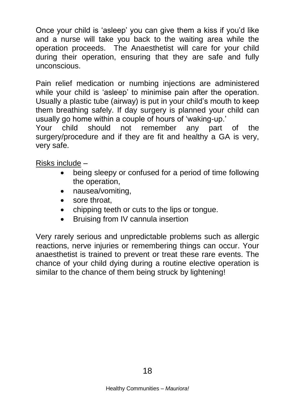Once your child is 'asleep' you can give them a kiss if you'd like and a nurse will take you back to the waiting area while the operation proceeds. The Anaesthetist will care for your child during their operation, ensuring that they are safe and fully unconscious.

Pain relief medication or numbing injections are administered while your child is 'asleep' to minimise pain after the operation. Usually a plastic tube (airway) is put in your child's mouth to keep them breathing safely. If day surgery is planned your child can usually go home within a couple of hours of 'waking-up.'

Your child should not remember any part of the surgery/procedure and if they are fit and healthy a GA is very. very safe.

Risks include –

- being sleepy or confused for a period of time following the operation,
- nausea/vomiting,
- sore throat.
- chipping teeth or cuts to the lips or tongue.
- Bruising from IV cannula insertion

Very rarely serious and unpredictable problems such as allergic reactions, nerve injuries or remembering things can occur. Your anaesthetist is trained to prevent or treat these rare events. The chance of your child dying during a routine elective operation is similar to the chance of them being struck by lightening!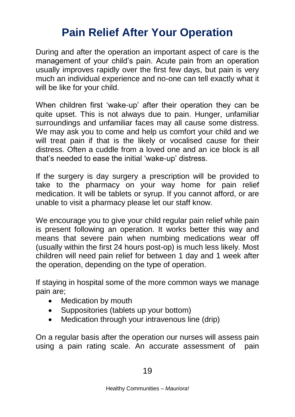## **Pain Relief After Your Operation**

During and after the operation an important aspect of care is the management of your child's pain. Acute pain from an operation usually improves rapidly over the first few days, but pain is very much an individual experience and no-one can tell exactly what it will be like for your child.

When children first 'wake-up' after their operation they can be quite upset. This is not always due to pain. Hunger, unfamiliar surroundings and unfamiliar faces may all cause some distress. We may ask you to come and help us comfort your child and we will treat pain if that is the likely or vocalised cause for their distress. Often a cuddle from a loved one and an ice block is all that's needed to ease the initial 'wake-up' distress.

If the surgery is day surgery a prescription will be provided to take to the pharmacy on your way home for pain relief medication. It will be tablets or syrup. If you cannot afford, or are unable to visit a pharmacy please let our staff know.

We encourage you to give your child regular pain relief while pain is present following an operation. It works better this way and means that severe pain when numbing medications wear off (usually within the first 24 hours post-op) is much less likely. Most children will need pain relief for between 1 day and 1 week after the operation, depending on the type of operation.

If staying in hospital some of the more common ways we manage pain are;

- Medication by mouth
- Suppositories (tablets up your bottom)
- Medication through your intravenous line (drip)

On a regular basis after the operation our nurses will assess pain using a pain rating scale. An accurate assessment of pain

19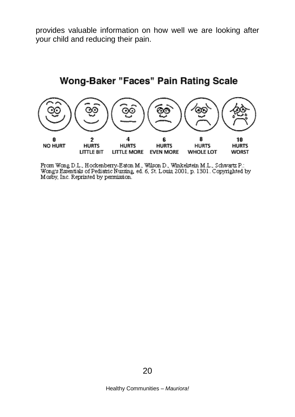provides valuable information on how well we are looking after your child and reducing their pain.

### Wong-Baker "Faces" Pain Rating Scale



From Wong D.L., Hockenberry-Eaton M., Wilson D., Winkelstein M.L., Schwartz P.: . Wong's Essentials of Pediatric Nursing, ed. 6, St. Louis, 2001, p. 1301. Copyrighted by Mosby, Inc. Reprinted by permission.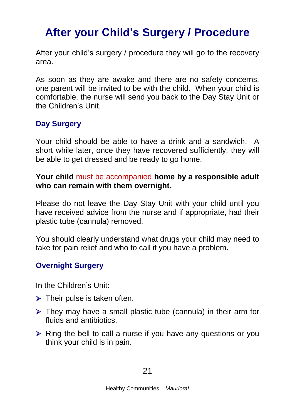## **After your Child's Surgery / Procedure**

After your child's surgery / procedure they will go to the recovery area.

As soon as they are awake and there are no safety concerns, one parent will be invited to be with the child. When your child is comfortable, the nurse will send you back to the Day Stay Unit or the Children's Unit.

### **Day Surgery**

Your child should be able to have a drink and a sandwich. A short while later, once they have recovered sufficiently, they will be able to get dressed and be ready to go home.

#### **Your child** must be accompanied **home by a responsible adult who can remain with them overnight.**

Please do not leave the Day Stay Unit with your child until you have received advice from the nurse and if appropriate, had their plastic tube (cannula) removed.

You should clearly understand what drugs your child may need to take for pain relief and who to call if you have a problem.

### **Overnight Surgery**

In the Children's Unit:

- $\triangleright$  Their pulse is taken often.
- $\triangleright$  They may have a small plastic tube (cannula) in their arm for fluids and antibiotics.
- $\triangleright$  Ring the bell to call a nurse if you have any questions or you think your child is in pain.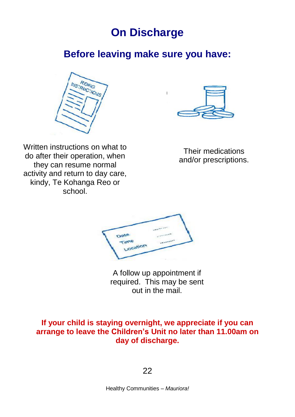## **On Discharge**

### **Before leaving make sure you have:**





Written instructions on what to do after their operation, when they can resume normal activity and return to day care, kindy, Te Kohanga Reo or school.

Their medications and/or prescriptions.



A follow up appointment if required. This may be sent out in the mail.

**If your child is staying overnight, we appreciate if you can arrange to leave the Children's Unit no later than 11.00am on day of discharge.**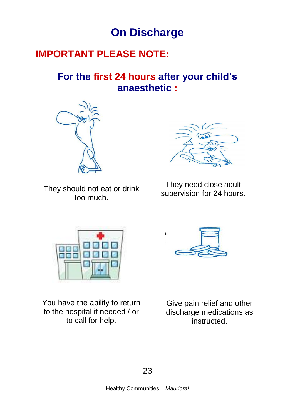## **On Discharge**

### **IMPORTANT PLEASE NOTE:**

### **For the first 24 hours after your child's anaesthetic :**



They should not eat or drink too much.



They need close adult supervision for 24 hours.







 $\mathbf{I}$ 

Give pain relief and other discharge medications as instructed.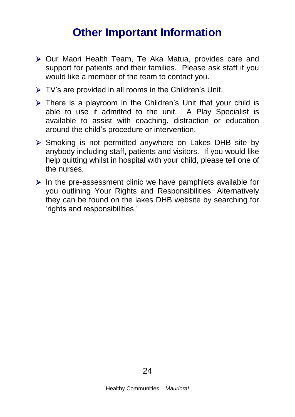## **Other Important Information**

- Our Maori Health Team, Te Aka Matua, provides care and support for patients and their families. Please ask staff if you would like a member of the team to contact you.
- TV's are provided in all rooms in the Children's Unit.
- There is a playroom in the Children's Unit that your child is able to use if admitted to the unit. A Play Specialist is available to assist with coaching, distraction or education around the child's procedure or intervention.
- $\triangleright$  Smoking is not permitted anywhere on Lakes DHB site by anybody including staff, patients and visitors. If you would like help quitting whilst in hospital with your child, please tell one of the nurses.
- $\triangleright$  In the pre-assessment clinic we have pamphlets available for you outlining Your Rights and Responsibilities. Alternatively they can be found on the lakes DHB website by searching for 'rights and responsibilities.'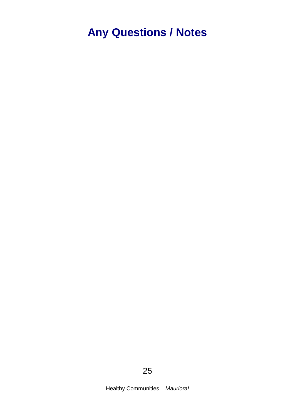## **Any Questions / Notes**